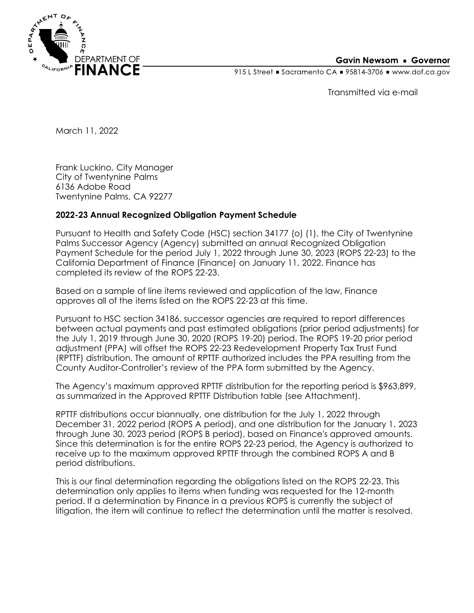

## **Gavin Newsom • Governor**

915 L Street Gacramento CA = 95814-3706 Www.dof.ca.gov

Transmitted via e-mail

March 11, 2022

Frank Luckino, City Manager City of Twentynine Palms 6136 Adobe Road Twentynine Palms, CA 92277

## **2022-23 Annual Recognized Obligation Payment Schedule**

Pursuant to Health and Safety Code (HSC) section 34177 (o) (1), the City of Twentynine Palms Successor Agency (Agency) submitted an annual Recognized Obligation Payment Schedule for the period July 1, 2022 through June 30, 2023 (ROPS 22-23) to the California Department of Finance (Finance) on January 11, 2022. Finance has completed its review of the ROPS 22-23.

Based on a sample of line items reviewed and application of the law, Finance approves all of the items listed on the ROPS 22-23 at this time.

Pursuant to HSC section 34186, successor agencies are required to report differences between actual payments and past estimated obligations (prior period adjustments) for the July 1, 2019 through June 30, 2020 (ROPS 19-20) period. The ROPS 19-20 prior period adjustment (PPA) will offset the ROPS 22-23 Redevelopment Property Tax Trust Fund (RPTTF) distribution. The amount of RPTTF authorized includes the PPA resulting from the County Auditor-Controller's review of the PPA form submitted by the Agency.

The Agency's maximum approved RPTTF distribution for the reporting period is \$963,899, as summarized in the Approved RPTTF Distribution table (see Attachment).

RPTTF distributions occur biannually, one distribution for the July 1, 2022 through December 31, 2022 period (ROPS A period), and one distribution for the January 1, 2023 through June 30, 2023 period (ROPS B period), based on Finance's approved amounts. Since this determination is for the entire ROPS 22-23 period, the Agency is authorized to receive up to the maximum approved RPTTF through the combined ROPS A and B period distributions.

This is our final determination regarding the obligations listed on the ROPS 22-23. This determination only applies to items when funding was requested for the 12-month period. If a determination by Finance in a previous ROPS is currently the subject of litigation, the item will continue to reflect the determination until the matter is resolved.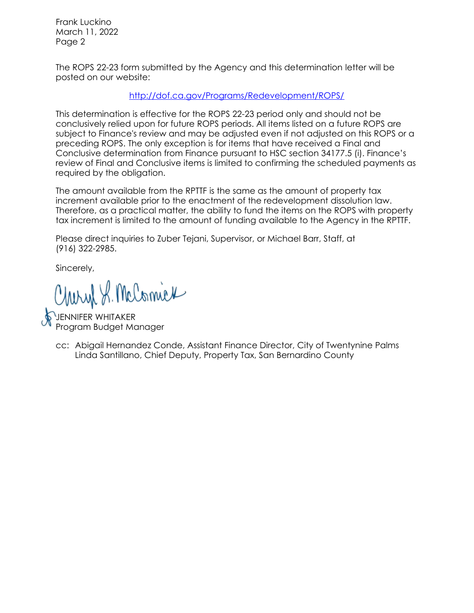Frank Luckino March 11, 2022 Page 2

The ROPS 22-23 form submitted by the Agency and this determination letter will be posted on our website:

<http://dof.ca.gov/Programs/Redevelopment/ROPS/>

This determination is effective for the ROPS 22-23 period only and should not be conclusively relied upon for future ROPS periods. All items listed on a future ROPS are subject to Finance's review and may be adjusted even if not adjusted on this ROPS or a preceding ROPS. The only exception is for items that have received a Final and Conclusive determination from Finance pursuant to HSC section 34177.5 (i). Finance's review of Final and Conclusive items is limited to confirming the scheduled payments as required by the obligation.

The amount available from the RPTTF is the same as the amount of property tax increment available prior to the enactment of the redevelopment dissolution law. Therefore, as a practical matter, the ability to fund the items on the ROPS with property tax increment is limited to the amount of funding available to the Agency in the RPTTF.

Please direct inquiries to Zuber Tejani, Supervisor, or Michael Barr, Staff, at (916) 322-2985.

Sincerely,

Charyl S. McComick

JENNIFER WHITAKER Program Budget Manager

cc: Abigail Hernandez Conde, Assistant Finance Director, City of Twentynine Palms Linda Santillano, Chief Deputy, Property Tax, San Bernardino County